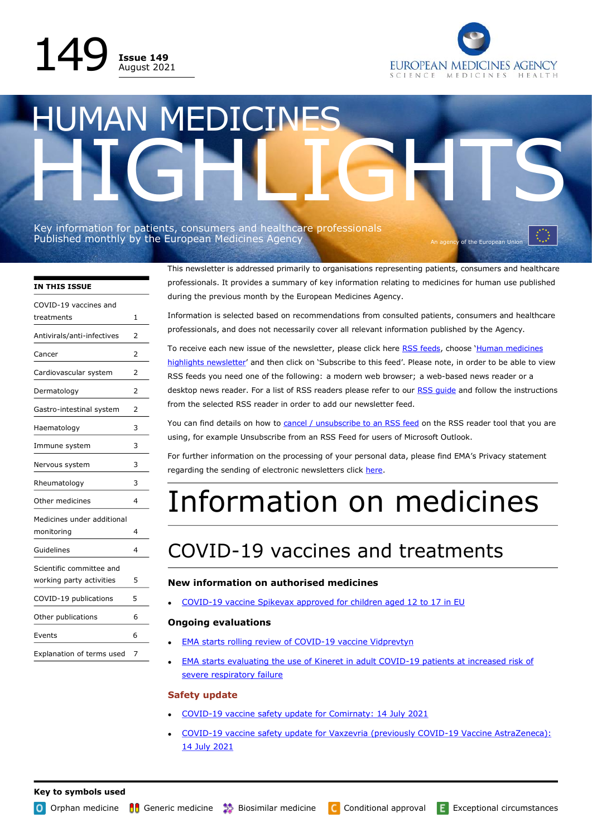



# HUMAN MEDICINES HIGHLIGHTS

Key information for patients, consumers and healthcare professionals Published monthly by the European Medicines Agency And The An agency of the European Union Control of the European Union

> This newsletter is addressed primarily to organisations representing patients, consumers and healthcare professionals. It provides a summary of key information relating to medicines for human use published during the previous month by the European Medicines Agency.

> Information is selected based on recommendations from consulted patients, consumers and healthcare professionals, and does not necessarily cover all relevant information published by the Agency.

> To receive each new issue of the newsletter, please click here [RSS feeds,](https://www.ema.europa.eu/news-event/rss-feeds) choose 'Human medicines [highlights newsletter](http://www.ema.europa.eu/ema/pages/rss/rss_feed_000014.xml)' and then click on 'Subscribe to this feed'. Please note, in order to be able to view RSS feeds you need one of the following: a modern web browser; a web-based news reader or a desktop news reader. For a list of RSS readers please refer to our [RSS guide](https://www.ema.europa.eu/en/news-event/rss-feeds#user-guide-section) and follow the instructions from the selected RSS reader in order to add our newsletter feed.

> You can find details on how to [cancel / unsubscribe to an RSS feed](https://support.microsoft.com/en-us/office/unsubscribe-from-an-rss-feed-d0053e8c-6488-4d6c-b447-026d29328f57#ID0EAABAAA=Office_2010) on the RSS reader tool that you are using, for example Unsubscribe from an RSS Feed for users of Microsoft Outlook.

For further information on the processing of your personal data, please find EMA's Privacy statement regarding the sending of electronic newsletters click [here.](http://www.ema.europa.eu/en/documents/other/european-medicines-agencys-privacy-statement-electronic-newsletters_en.pdf)

# Information on medicines

# COVID-19 vaccines and treatments

### **New information on authorised medicines**

• COVID-[19 vaccine Spikevax approved for children aged 12 to 17 in EU](https://www.ema.europa.eu/en/news/covid-19-vaccine-spikevax-approved-children-aged-12-17-eu)

### **Ongoing evaluations**

- [EMA starts rolling review of COVID](https://www.ema.europa.eu/en/news/ema-starts-rolling-review-covid-19-vaccine-vidprevtyn)-19 vaccine Vidprevtyn
- [EMA starts evaluating the use of Kineret in adult COVID](https://www.ema.europa.eu/en/news/ema-starts-evaluating-use-kineret-adult-covid-19-patients-increased-risk-severe-respiratory-failure)-19 patients at increased risk of [severe respiratory failure](https://www.ema.europa.eu/en/news/ema-starts-evaluating-use-kineret-adult-covid-19-patients-increased-risk-severe-respiratory-failure)

### **Safety update**

- COVID-[19 vaccine safety update for Comirnaty: 14 July 2021](https://www.ema.europa.eu/en/documents/covid-19-vaccine-safety-update/covid-19-vaccine-safety-update-comirnaty-14-july-2021_en.pdf)
- COVID-[19 vaccine safety update for Vaxzevria \(previously COVID](https://www.ema.europa.eu/en/documents/covid-19-vaccine-safety-update/covid-19-vaccine-safety-update-vaxzevria-previously-covid-19-vaccine-astrazeneca-14-july-2021_en.pdf)-19 Vaccine AstraZeneca): [14 July 2021](https://www.ema.europa.eu/en/documents/covid-19-vaccine-safety-update/covid-19-vaccine-safety-update-vaxzevria-previously-covid-19-vaccine-astrazeneca-14-july-2021_en.pdf)

treatments 1 Antivirals/anti-infectives 2 Cancer 2 Cardiovascular system 2 Dermatology 2 Gastro-intestinal system 2 Haematology 3 Immune system 3 Nervous system 3 Rheumatology 3 Other medicines 4 Medicines under additional monitoring 4 Guidelines 4 Scientific committee and working party activities 5 COVID-19 publications 5 Other publications 6 Events 6 Explanation of terms used 7

**IN THIS ISSUE**

COVID-19 vaccines and

**Key to symbols used**

O Orphan medicine Generic medicine **B**iosimilar medicine C Conditional approval E Exceptional circumstances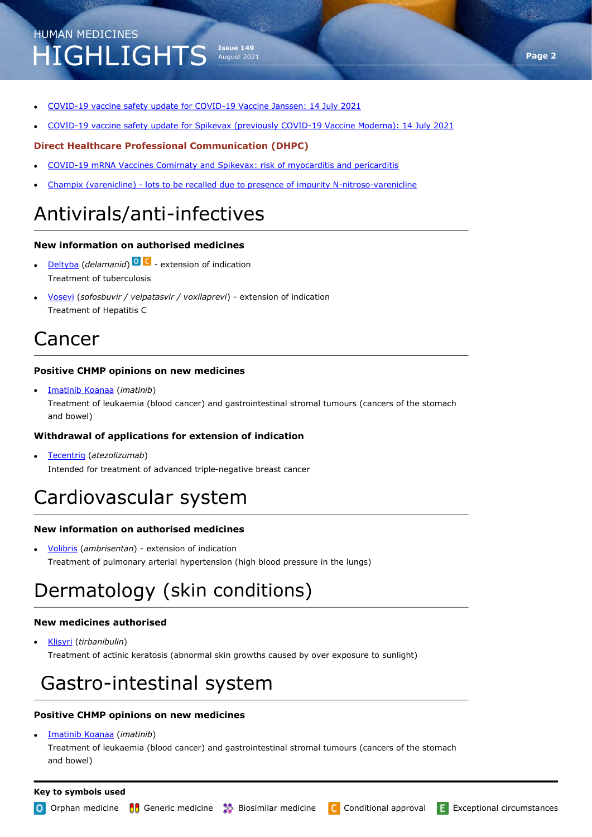- COVID-[19 vaccine safety update for COVID](https://www.ema.europa.eu/documents/covid-19-vaccine-safety-update/covid-19-vaccine-safety-update-covid-19-vaccine-janssen-14-july-2021_en.pdf)-19 Vaccine Janssen: 14 July 2021
- COVID-[19 vaccine safety update for Spikevax \(previously COVID](https://www.ema.europa.eu/documents/covid-19-vaccine-safety-update/covid-19-vaccine-safety-update-spikevax-previously-covid-19-vaccine-moderna-14-july-2021_en.pdf)-19 Vaccine Moderna): 14 July 2021

**Issue 149** August 2021

### **Direct Healthcare Professional Communication (DHPC)**

- COVID-[19 mRNA Vaccines Comirnaty and Spikevax: risk of myocarditis and pericarditis](https://www.ema.europa.eu/en/medicines/dhpc/covid-19-mrna-vaccines-comirnaty-spikevax-risk-myocarditis-pericarditis)
- Champix (varenicline) [lots to be recalled due to presence of impurity N](https://www.ema.europa.eu/en/medicines/dhpc/champix-varenicline-lots-be-recalled-due-presence-impurity-n-nitroso-varenicline-above-pfizer)-nitroso-varenicline

### Antivirals/anti-infectives

### **New information on authorised medicines**

- [Deltyba](https://www.ema.europa.eu/en/medicines/human/summaries-opinion/deltyba-0) (*delamanid*) extension of indication Treatment of tuberculosis
- [Vosevi](https://www.ema.europa.eu/en/medicines/human/summaries-opinion/vosevi) (*sofosbuvir / velpatasvir / voxilaprevi*) extension of indication Treatment of Hepatitis C

### Cancer

### **Positive CHMP opinions on new medicines**

• [Imatinib Koanaa](https://www.ema.europa.eu/en/medicines/human/summaries-opinion/imatinib-koanaa) (*imatinib*) Treatment of leukaemia (blood cancer) and gastrointestinal stromal tumours (cancers of the stomach and bowel)

### **Withdrawal of applications for extension of indication**

• [Tecentriq](https://www.ema.europa.eu/en/medicines/human/withdrawn-applications/tecentriq-1) (*atezolizumab*) Intended for treatment of advanced triple-negative breast cancer

### Cardiovascular system

### **New information on authorised medicines**

• [Volibris](https://www.ema.europa.eu/en/medicines/human/summaries-opinion/volibris) (*ambrisentan*) - extension of indication Treatment of pulmonary arterial hypertension (high blood pressure in the lungs)

### Dermatology (skin conditions)

### **New medicines authorised**

• [Klisyri](https://www.ema.europa.eu/en/medicines/human/EPAR/klisyri) (*tirbanibulin*) Treatment of actinic keratosis (abnormal skin growths caused by over exposure to sunlight)

### Gastro-intestinal system

### **Positive CHMP opinions on new medicines**

• [Imatinib Koanaa](https://www.ema.europa.eu/en/medicines/human/summaries-opinion/imatinib-koanaa) (*imatinib*)

Treatment of leukaemia (blood cancer) and gastrointestinal stromal tumours (cancers of the stomach and bowel)

#### **Key to symbols used**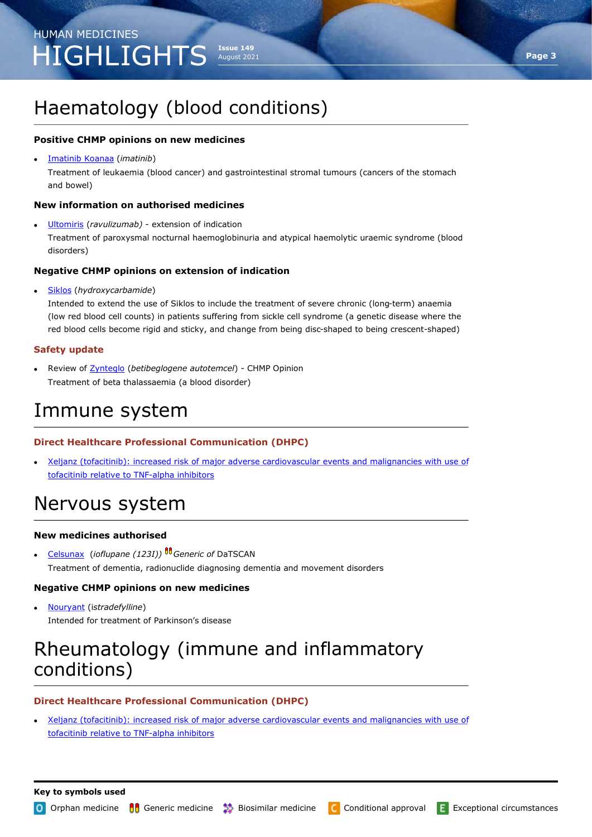### Haematology (blood conditions)

### **Positive CHMP opinions on new medicines**

• [Imatinib Koanaa](https://www.ema.europa.eu/en/medicines/human/summaries-opinion/imatinib-koanaa) (*imatinib*)

Treatment of leukaemia (blood cancer) and gastrointestinal stromal tumours (cancers of the stomach and bowel)

### **New information on authorised medicines**

• [Ultomiris](https://www.ema.europa.eu/en/medicines/human/EPAR/ultomiris) (*ravulizumab)* - extension of indication

Treatment of paroxysmal nocturnal haemoglobinuria and atypical haemolytic uraemic syndrome (blood disorders)

#### **Negative CHMP opinions on extension of indication**

• [Siklos](https://www.ema.europa.eu/en/medicines/human/summaries-opinion/siklos) (*hydroxycarbamide*)

Intended to extend the use of Siklos to include the treatment of severe chronic (long-term) anaemia (low red blood cell counts) in patients suffering from sickle cell syndrome (a genetic disease where the red blood cells become rigid and sticky, and change from being disc-shaped to being crescent-shaped)

### **Safety update**

• Review of [Zynteglo](https://www.ema.europa.eu/en/news/chmp-endorses-review-finding-no-link-between-viral-vector-zynteglo-blood-cancer) (*betibeglogene autotemcel*) - CHMP Opinion Treatment of beta thalassaemia (a blood disorder)

### Immune system

### **Direct Healthcare Professional Communication (DHPC)**

• [Xeljanz \(tofacitinib\): increased risk of major adverse cardiovascular events and malignancies with use of](https://www.ema.europa.eu/en/medicines/dhpc/xeljanz-tofacitinib-increased-risk-major-adverse-cardiovascular-events-malignancies-use-tofacitinib)  [tofacitinib relative to TNF](https://www.ema.europa.eu/en/medicines/dhpc/xeljanz-tofacitinib-increased-risk-major-adverse-cardiovascular-events-malignancies-use-tofacitinib)-alpha inhibitors

### Nervous system

#### **New medicines authorised**

• [Celsunax](https://www.ema.europa.eu/en/medicines/human/EPAR/celsunax) (*ioflupane (123I)) Generic of* DaTSCAN Treatment of dementia, radionuclide diagnosing dementia and movement disorders

### **Negative CHMP opinions on new medicines**

• [Nouryant](https://www.ema.europa.eu/en/medicines/human/summaries-opinion/nouryant) (i*stradefylline*) Intended for treatment of Parkinson's disease

### Rheumatology (immune and inflammatory conditions)

### **Direct Healthcare Professional Communication (DHPC)**

• [Xeljanz \(tofacitinib\): increased risk of major adverse cardiovascular events and malignancies with use of](https://www.ema.europa.eu/en/medicines/dhpc/xeljanz-tofacitinib-increased-risk-major-adverse-cardiovascular-events-malignancies-use-tofacitinib)  [tofacitinib relative to TNF](https://www.ema.europa.eu/en/medicines/dhpc/xeljanz-tofacitinib-increased-risk-major-adverse-cardiovascular-events-malignancies-use-tofacitinib)-alpha inhibitors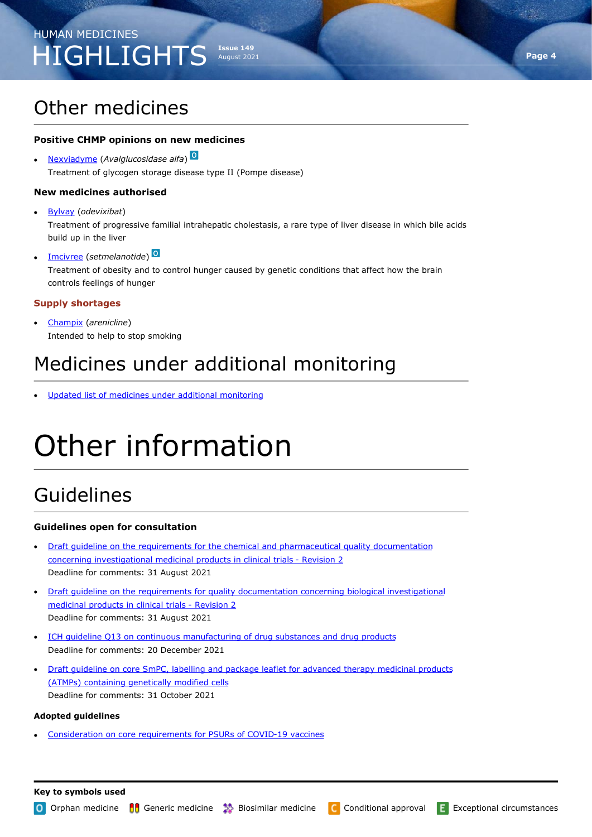### Other medicines

### **Positive CHMP opinions on new medicines**

• [Nexviadyme](https://www.ema.europa.eu/en/medicines/human/summaries-opinion/nexviadyme) (*Avalglucosidase alfa*) Treatment of glycogen storage disease type II (Pompe disease)

#### **New medicines authorised**

- [Bylvay](https://www.ema.europa.eu/en/medicines/human/EPAR/bylvay) (*odevixibat*) Treatment of progressive familial intrahepatic cholestasis, a rare type of liver disease in which bile acids build up in the liver
- [Imcivree](https://www.ema.europa.eu/en/medicines/human/EPAR/imcivree) (*setmelanotide*) Treatment of obesity and to control hunger caused by genetic conditions that affect how the brain controls feelings of hunger

#### **Supply shortages**

• [Champix](https://www.ema.europa.eu/en/documents/shortage/champix-varenicline-supply-shortage_en.pdf) (*arenicline*) Intended to help to stop smoking

### Medicines under additional monitoring

Updated list of medicines under additional monitoring

# Other information

### Guidelines

#### **Guidelines open for consultation**

- [Draft guideline on the requirements for the chemical and pharmaceutical quality documentation](https://www.ema.europa.eu/en/documents/scientific-guideline/draft-guideline-requirements-chemical-pharmaceutical-quality-documentation-concerning_en-0.pdf)  [concerning investigational medicinal products in clinical trials](https://www.ema.europa.eu/en/documents/scientific-guideline/draft-guideline-requirements-chemical-pharmaceutical-quality-documentation-concerning_en-0.pdf) - Revision 2 Deadline for comments: 31 August 2021
- [Draft guideline on the requirements for quality documentation concerning biological investigational](https://www.ema.europa.eu/en/documents/scientific-guideline/draft-guideline-requirements-quality-documentation-concerning-biological-investigational-medicinal_en-2.pdf)  [medicinal products in clinical trials](https://www.ema.europa.eu/en/documents/scientific-guideline/draft-guideline-requirements-quality-documentation-concerning-biological-investigational-medicinal_en-2.pdf) - Revision 2 Deadline for comments: 31 August 2021
- ICH quideline Q13 on continuous manufacturing of drug substances and drug products Deadline for comments: 20 December 2021
- [Draft guideline on core SmPC, labelling and package leaflet for advanced therapy medicinal products](https://www.ema.europa.eu/en/documents/scientific-guideline/draft-guideline-core-smpc-labelling-package-leaflet-advanced-therapy-medicinal-products-atmps_en.pdf)  [\(ATMPs\) containing genetically modified cells](https://www.ema.europa.eu/en/documents/scientific-guideline/draft-guideline-core-smpc-labelling-package-leaflet-advanced-therapy-medicinal-products-atmps_en.pdf) Deadline for comments: 31 October 2021

#### **Adopted guidelines**

• [Consideration on core requirements for PSURs of COVID](https://www.ema.europa.eu/en/documents/scientific-guideline/consideration-core-requirements-psurs-covid-19-vaccines_en.pdf)-19 vaccines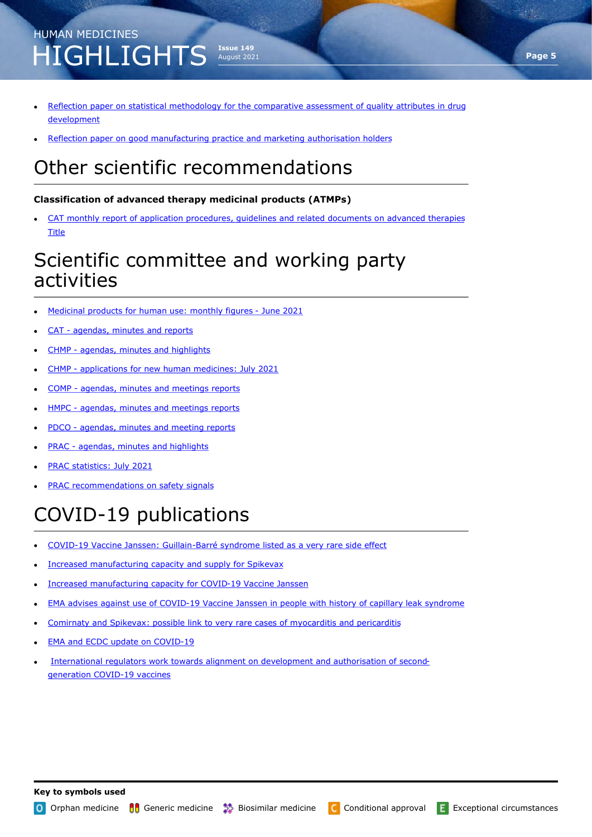### **Issue 149** August 2021 HUMAN MEDICINES HIGHLIGHTS

- [Reflection paper on statistical methodology for the comparative assessment of quality attributes in drug](https://www.ema.europa.eu/en/documents/scientific-guideline/reflection-paper-statistical-methodology-comparative-assessment-quality-attributes-drug-development_en.pdf)  [development](https://www.ema.europa.eu/en/documents/scientific-guideline/reflection-paper-statistical-methodology-comparative-assessment-quality-attributes-drug-development_en.pdf)
- [Reflection paper on good manufacturing practice and marketing authorisation holders](https://www.ema.europa.eu/en/documents/scientific-guideline/reflection-paper-good-manufacturing-practice-marketing-authorisation-holders_en-0.pdf)

### Other scientific recommendations

### **Classification of advanced therapy medicinal products (ATMPs)**

• [CAT monthly report of application procedures, guidelines and related documents on advanced therapies](https://www.ema.europa.eu/en/documents/committee-report/cat-monthly-report-application-procedures-guidelines-related-documents-advanced-therapies-may-2021_en.pdf)  **[Title](https://www.ema.europa.eu/en/documents/committee-report/cat-monthly-report-application-procedures-guidelines-related-documents-advanced-therapies-may-2021_en.pdf)** 

### Scientific committee and working party activities

- [Medicinal products for human use: monthly figures](https://www.ema.europa.eu/en/documents/report/medicinal-products-human-use-monthly-figures-june-2021_en.pdf)  June 2021
- CAT [agendas, minutes and reports](https://www.ema.europa.eu/committees/cat/cat-agendas-minutes-reports)
- CHMP [agendas, minutes and highlights](https://www.ema.europa.eu/committees/chmp/chmp-agendas-minutes-highlights)
- CHMP [applications for new human medicines: July 2021](https://www.ema.europa.eu/documents/report/applications-new-human-medicines-under-evaluation-chmp-july-2021_en.xlsx)
- COMP [agendas, minutes and meetings reports](https://www.ema.europa.eu/committees/comp/comp-agendas-minutes-meeting-reports)
- HMPC [agendas, minutes and meetings reports](https://www.ema.europa.eu/committees/hmpc/hmpc-agendas-minutes-meeting-reports)
- PDCO [agendas, minutes and meeting reports](https://www.ema.europa.eu/committees/pdco/pdco-agendas-minutes-meeting-reports)
- PRAC [agendas, minutes and highlights](https://www.ema.europa.eu/committees/prac/prac-agendas-minutes-highlights)
- [PRAC statistics: July 2021](https://www.ema.europa.eu/en/documents/report/prac-statistics-july-2021_en.pdf)
- [PRAC recommendations on safety signals](https://www.ema.europa.eu/human-regulatory/post-authorisation/pharmacovigilance/signal-management/prac-recommendations-safety-signals)

# COVID-19 publications

- COVID-19 Vaccine Janssen: Guillain-[Barré syndrome listed as a very rare side effect](COVID-19%20Vaccine%20Janssen:%20Guillain-Barré%20syndrome%20listed%20as%20a%20very%20rare%20side%20effect)
- [Increased manufacturing capacity and supply for Spikevax](https://www.ema.europa.eu/en/news/increased-manufacturing-capacity-supply-spikevax)
- [Increased manufacturing capacity for COVID](https://www.ema.europa.eu/en/news/increased-manufacturing-capacity-covid-19-vaccine-janssen)-19 Vaccine Janssen
- EMA advises against use of COVID-[19 Vaccine Janssen in people with history of capillary leak syndrome](https://www.ema.europa.eu/en/news/ema-advises-against-use-covid-19-vaccine-janssen-people-history-capillary-leak-syndrome)
- [Comirnaty and Spikevax: possible link to very rare cases of myocarditis and pericarditis](https://www.ema.europa.eu/en/news/comirnaty-spikevax-possible-link-very-rare-cases-myocarditis-pericarditis)
- [EMA and ECDC update on COVID](https://www.ema.europa.eu/en/news/ema-ecdc-update-covid-19)-19
- [International regulators work towards alignment on development and authorisation of second](https://www.ema.europa.eu/en/news/international-regulators-work-towards-alignment-development-authorisation-second-generation-covid-19)[generation COVID](https://www.ema.europa.eu/en/news/international-regulators-work-towards-alignment-development-authorisation-second-generation-covid-19)-19 vaccines

O Orphan medicine Generic medicine **B**iosimilar medicine C Conditional approval E Exceptional circumstances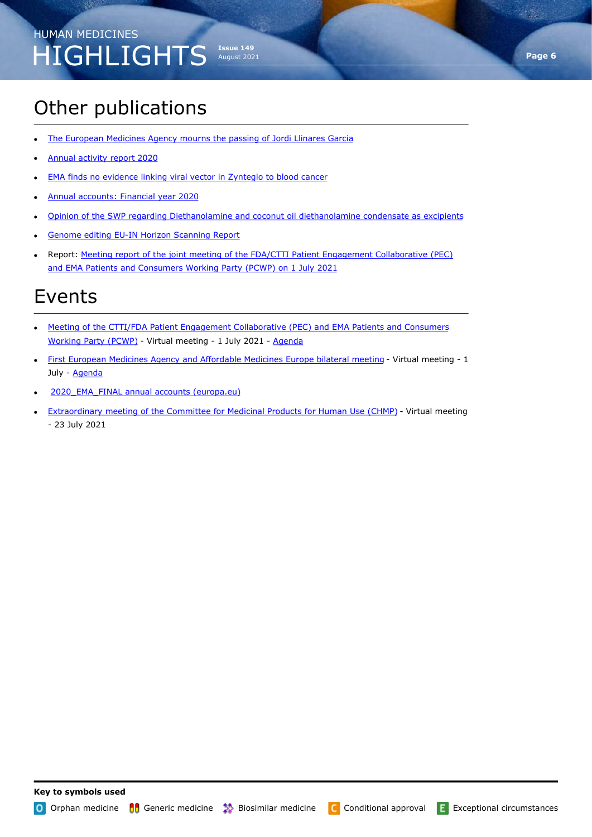# Other publications

- [The European Medicines Agency mourns the passing of Jordi Llinares Garcia](https://www.ema.europa.eu/en/news/european-medicines-agency-mourns-passing-jordi-llinares-garcia)
- [Annual activity report 2020](https://www.ema.europa.eu/en/documents/report/annual-activity-report-2020_en.pdf)
- **[EMA finds no evidence linking viral vector in Zynteglo to blood cancer](https://www.ema.europa.eu/en/news/ema-finds-no-evidence-linking-viral-vector-zynteglo-blood-cancer)**
- [Annual accounts: Financial year 2020](https://www.ema.europa.eu/en/documents/report/annual-accounts-financial-year-2020_en.pdf)
- [Opinion of the SWP regarding Diethanolamine and coconut oil diethanolamine condensate as excipients](https://www.ema.europa.eu/en/documents/other/opinion-swp-regarding-diethanolamine-coconut-oil-diethanolamine-condensate-excipients_en.pdf)

**Issue 149** August 2021

- Genome editing EU-[IN Horizon Scanning Report](https://www.ema.europa.eu/documents/report/genome-editing-eu-horizon-scanning-report_en.pdf)
- Report: Meeting report of the joint meeting of the FDA/CTTI Patient Engagement Collaborative (PEC) [and EMA Patients and Consumers Working Party \(PCWP\) on 1 July 2021](https://www.ema.europa.eu/en/documents/report/meeting-report-joint-meeting-fda/ctti-patient-engagement-collaborative-pec-ema-patients-consumers-working-party-pcwp-1-july-2021_en.pdf)

### Events

- [Meeting of the CTTI/FDA Patient Engagement Collaborative \(PEC\) and EMA Patients and Consumers](https://www.ema.europa.eu/en/events/meeting-cttifda-patient-engagement-collaborative-pec-ema-patients-consumers-working-party-pcwp)  [Working Party \(PCWP\)](https://www.ema.europa.eu/en/events/meeting-cttifda-patient-engagement-collaborative-pec-ema-patients-consumers-working-party-pcwp) - Virtual meeting - 1 July 2021 - [Agenda](https://www.ema.europa.eu/en/documents/agenda/agenda-meeting-ctti/fda-patient-engagement-collaborative-pec-ema-patients-consumers-working-party-pcwp_en.pdf)
- [First European Medicines Agency and Affordable Medicines Europe bilateral meeting](https://www.ema.europa.eu/en/events/first-european-medicines-agency-affordable-medicines-europe-bilateral-meeting) Virtual meeting 1 July - [Agenda](https://www.ema.europa.eu/en/documents/agenda/agenda-first-european-medicines-agency-affordable-medicines-europe-bilateral-meeting_en.pdf)
- 2020 EMA\_FINAL annual accounts (europa.eu)
- **[Extraordinary meeting of the Committee for Medicinal Products for Human Use \(CHMP\)](https://www.ema.europa.eu/en/events/extraordinary-meeting-committee-medicinal-products-human-use-chmp-23-july-2021) Virtual meeting** - 23 July 2021

**Page 6**